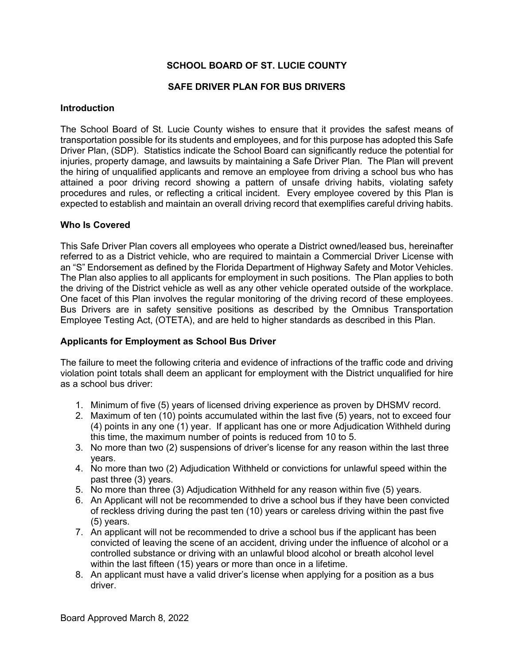# **SCHOOL BOARD OF ST. LUCIE COUNTY**

## **SAFE DRIVER PLAN FOR BUS DRIVERS**

#### **Introduction**

The School Board of St. Lucie County wishes to ensure that it provides the safest means of transportation possible for its students and employees, and for this purpose has adopted this Safe Driver Plan, (SDP). Statistics indicate the School Board can significantly reduce the potential for injuries, property damage, and lawsuits by maintaining a Safe Driver Plan. The Plan will prevent the hiring of unqualified applicants and remove an employee from driving a school bus who has attained a poor driving record showing a pattern of unsafe driving habits, violating safety procedures and rules, or reflecting a critical incident. Every employee covered by this Plan is expected to establish and maintain an overall driving record that exemplifies careful driving habits.

## **Who Is Covered**

This Safe Driver Plan covers all employees who operate a District owned/leased bus, hereinafter referred to as a District vehicle, who are required to maintain a Commercial Driver License with an "S" Endorsement as defined by the Florida Department of Highway Safety and Motor Vehicles. The Plan also applies to all applicants for employment in such positions. The Plan applies to both the driving of the District vehicle as well as any other vehicle operated outside of the workplace. One facet of this Plan involves the regular monitoring of the driving record of these employees. Bus Drivers are in safety sensitive positions as described by the Omnibus Transportation Employee Testing Act, (OTETA), and are held to higher standards as described in this Plan.

## **Applicants for Employment as School Bus Driver**

The failure to meet the following criteria and evidence of infractions of the traffic code and driving violation point totals shall deem an applicant for employment with the District unqualified for hire as a school bus driver:

- 1. Minimum of five (5) years of licensed driving experience as proven by DHSMV record.
- 2. Maximum of ten (10) points accumulated within the last five (5) years, not to exceed four (4) points in any one (1) year. If applicant has one or more Adjudication Withheld during this time, the maximum number of points is reduced from 10 to 5.
- 3. No more than two (2) suspensions of driver's license for any reason within the last three years.
- 4. No more than two (2) Adjudication Withheld or convictions for unlawful speed within the past three (3) years.
- 5. No more than three (3) Adjudication Withheld for any reason within five (5) years.
- 6. An Applicant will not be recommended to drive a school bus if they have been convicted of reckless driving during the past ten (10) years or careless driving within the past five (5) years.
- 7. An applicant will not be recommended to drive a school bus if the applicant has been convicted of leaving the scene of an accident, driving under the influence of alcohol or a controlled substance or driving with an unlawful blood alcohol or breath alcohol level within the last fifteen (15) years or more than once in a lifetime.
- 8. An applicant must have a valid driver's license when applying for a position as a bus driver.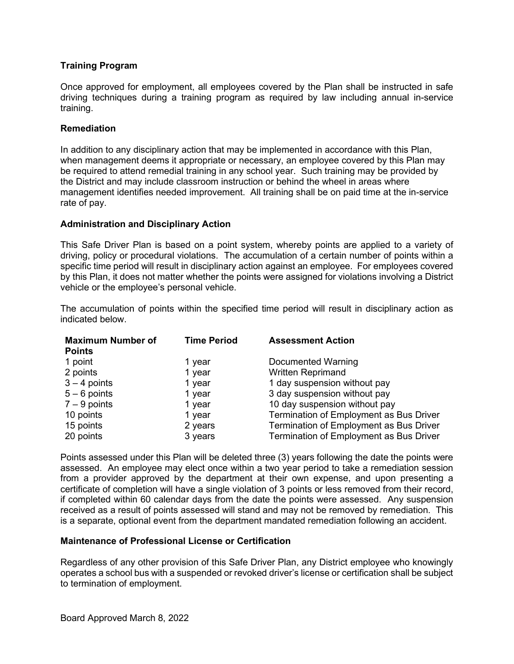## **Training Program**

Once approved for employment, all employees covered by the Plan shall be instructed in safe driving techniques during a training program as required by law including annual in-service training.

#### **Remediation**

In addition to any disciplinary action that may be implemented in accordance with this Plan, when management deems it appropriate or necessary, an employee covered by this Plan may be required to attend remedial training in any school year. Such training may be provided by the District and may include classroom instruction or behind the wheel in areas where management identifies needed improvement. All training shall be on paid time at the in-service rate of pay.

#### **Administration and Disciplinary Action**

This Safe Driver Plan is based on a point system, whereby points are applied to a variety of driving, policy or procedural violations. The accumulation of a certain number of points within a specific time period will result in disciplinary action against an employee. For employees covered by this Plan, it does not matter whether the points were assigned for violations involving a District vehicle or the employee's personal vehicle.

The accumulation of points within the specified time period will result in disciplinary action as indicated below.

| <b>Maximum Number of</b><br><b>Points</b> | <b>Time Period</b> | <b>Assessment Action</b>                |
|-------------------------------------------|--------------------|-----------------------------------------|
| 1 point                                   | 1 year             | Documented Warning                      |
| 2 points                                  | 1 year             | <b>Written Reprimand</b>                |
| $3 - 4$ points                            | 1 year             | 1 day suspension without pay            |
| $5 - 6$ points                            | 1 year             | 3 day suspension without pay            |
| $7 - 9$ points                            | 1 year             | 10 day suspension without pay           |
| 10 points                                 | 1 year             | Termination of Employment as Bus Driver |
| 15 points                                 | 2 years            | Termination of Employment as Bus Driver |
| 20 points                                 | 3 years            | Termination of Employment as Bus Driver |

Points assessed under this Plan will be deleted three (3) years following the date the points were assessed. An employee may elect once within a two year period to take a remediation session from a provider approved by the department at their own expense, and upon presenting a certificate of completion will have a single violation of 3 points or less removed from their record, if completed within 60 calendar days from the date the points were assessed. Any suspension received as a result of points assessed will stand and may not be removed by remediation. This is a separate, optional event from the department mandated remediation following an accident.

## **Maintenance of Professional License or Certification**

Regardless of any other provision of this Safe Driver Plan, any District employee who knowingly operates a school bus with a suspended or revoked driver's license or certification shall be subject to termination of employment.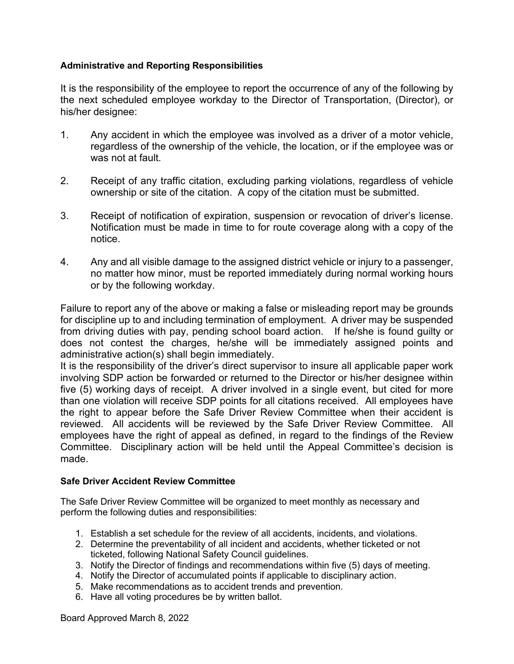# **Administrative and Reporting Responsibilities**

It is the responsibility of the employee to report the occurrence of any of the following by the next scheduled employee workday to the Director of Transportation, (Director), or his/her designee:

- 1. Any accident in which the employee was involved as a driver of a motor vehicle, regardless of the ownership of the vehicle, the location, or if the employee was or was not at fault.
- 2. Receipt of any traffic citation, excluding parking violations, regardless of vehicle ownership or site of the citation. A copy of the citation must be submitted.
- 3. Receipt of notification of expiration, suspension or revocation of driver's license. Notification must be made in time to for route coverage along with a copy of the notice.
- 4. Any and all visible damage to the assigned district vehicle or injury to a passenger, no matter how minor, must be reported immediately during normal working hours or by the following workday.

Failure to report any of the above or making a false or misleading report may be grounds for discipline up to and including termination of employment. A driver may be suspended from driving duties with pay, pending school board action. If he/she is found guilty or does not contest the charges, he/she will be immediately assigned points and administrative action(s) shall begin immediately.

It is the responsibility of the driver's direct supervisor to insure all applicable paper work involving SDP action be forwarded or returned to the Director or his/her designee within five (5) working days of receipt. A driver involved in a single event, but cited for more than one violation will receive SDP points for all citations received. All employees have the right to appear before the Safe Driver Review Committee when their accident is reviewed. All accidents will be reviewed by the Safe Driver Review Committee. All employees have the right of appeal as defined, in regard to the findings of the Review Committee. Disciplinary action will be held until the Appeal Committee's decision is made.

## **Safe Driver Accident Review Committee**

The Safe Driver Review Committee will be organized to meet monthly as necessary and perform the following duties and responsibilities:

- 1. Establish a set schedule for the review of all accidents, incidents, and violations.
- 2. Determine the preventability of all incident and accidents, whether ticketed or not ticketed, following National Safety Council guidelines.
- 3. Notify the Director of findings and recommendations within five (5) days of meeting.
- 4. Notify the Director of accumulated points if applicable to disciplinary action.
- 5. Make recommendations as to accident trends and prevention.
- 6. Have all voting procedures be by written ballot.

Board Approved March 8, 2022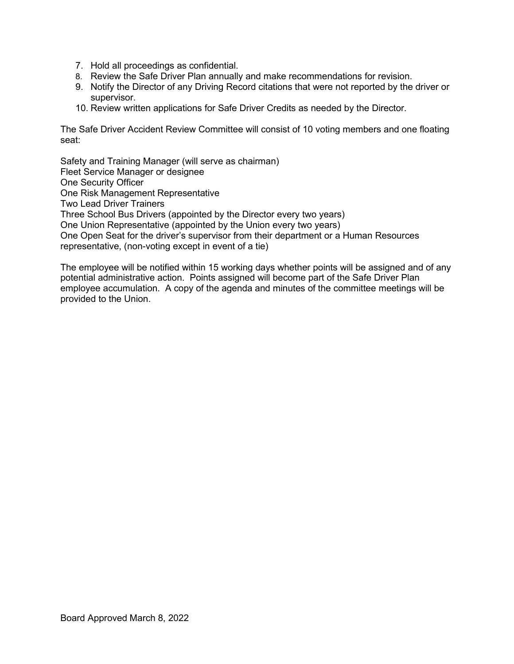- 7. Hold all proceedings as confidential.
- 8. Review the Safe Driver Plan annually and make recommendations for revision.
- 9. Notify the Director of any Driving Record citations that were not reported by the driver or supervisor.
- 10. Review written applications for Safe Driver Credits as needed by the Director.

The Safe Driver Accident Review Committee will consist of 10 voting members and one floating seat:

Safety and Training Manager (will serve as chairman) Fleet Service Manager or designee One Security Officer One Risk Management Representative Two Lead Driver Trainers Three School Bus Drivers (appointed by the Director every two years) One Union Representative (appointed by the Union every two years) One Open Seat for the driver's supervisor from their department or a Human Resources representative, (non-voting except in event of a tie)

The employee will be notified within 15 working days whether points will be assigned and of any potential administrative action. Points assigned will become part of the Safe Driver Plan employee accumulation. A copy of the agenda and minutes of the committee meetings will be provided to the Union.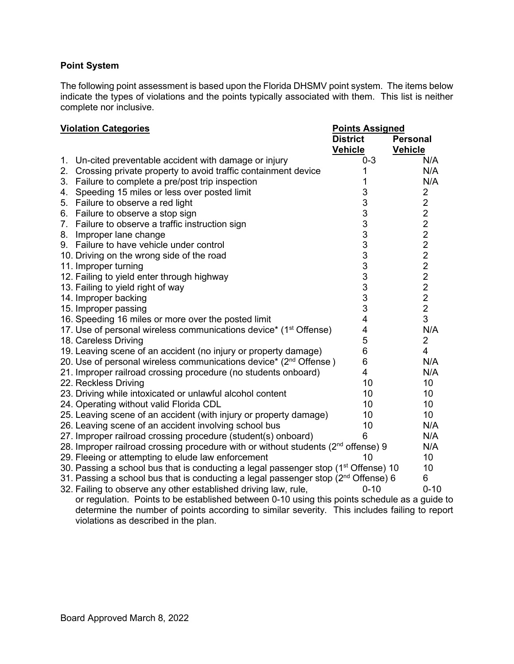## **Point System**

The following point assessment is based upon the Florida DHSMV point system. The items below indicate the types of violations and the points typically associated with them. This list is neither complete nor inclusive.

#### **Violation Categories Points Assigned**

|    |                                                                                                 | <b>District</b> | <b>Personal</b> |
|----|-------------------------------------------------------------------------------------------------|-----------------|-----------------|
|    |                                                                                                 | <b>Vehicle</b>  | <b>Vehicle</b>  |
| 1. | Un-cited preventable accident with damage or injury                                             | $0 - 3$         | N/A             |
| 2. | Crossing private property to avoid traffic containment device                                   | 1               | N/A             |
|    | 3. Failure to complete a pre/post trip inspection                                               | 1               | N/A             |
| 4. | Speeding 15 miles or less over posted limit                                                     | 3               | $\overline{c}$  |
|    | 5. Failure to observe a red light                                                               | 3               | $\overline{2}$  |
| 6. | Failure to observe a stop sign                                                                  | 3               | $\overline{2}$  |
|    | 7. Failure to observe a traffic instruction sign                                                | 3               | $\overline{2}$  |
|    | 8. Improper lane change                                                                         | 3               | $\overline{2}$  |
|    | 9. Failure to have vehicle under control                                                        | 3               | $\overline{c}$  |
|    | 10. Driving on the wrong side of the road                                                       | 3               | $\overline{2}$  |
|    | 11. Improper turning                                                                            | 3               | $\overline{2}$  |
|    | 12. Failing to yield enter through highway                                                      | 3               | $\overline{2}$  |
|    | 13. Failing to yield right of way                                                               | 3               | $\overline{2}$  |
|    | 14. Improper backing                                                                            | 3               | $\overline{2}$  |
|    | 15. Improper passing                                                                            | 3               | $\overline{2}$  |
|    | 16. Speeding 16 miles or more over the posted limit                                             | 4               | 3               |
|    | 17. Use of personal wireless communications device* (1 <sup>st</sup> Offense)                   | 4               | N/A             |
|    | 18. Careless Driving                                                                            | 5               | $\overline{2}$  |
|    | 19. Leaving scene of an accident (no injury or property damage)                                 | 6               | $\overline{4}$  |
|    | 20. Use of personal wireless communications device* (2 <sup>nd</sup> Offense)                   | 6               | N/A             |
|    | 21. Improper railroad crossing procedure (no students onboard)                                  | 4               | N/A             |
|    | 22. Reckless Driving                                                                            | 10              | 10              |
|    | 23. Driving while intoxicated or unlawful alcohol content                                       | 10              | 10              |
|    | 24. Operating without valid Florida CDL                                                         | 10              | 10              |
|    | 25. Leaving scene of an accident (with injury or property damage)                               | 10              | 10              |
|    | 26. Leaving scene of an accident involving school bus                                           | 10              | N/A             |
|    | 27. Improper railroad crossing procedure (student(s) onboard)                                   | 6               | N/A             |
|    | 28. Improper railroad crossing procedure with or without students (2 <sup>nd</sup> offense) 9   |                 | N/A             |
|    | 29. Fleeing or attempting to elude law enforcement                                              | 10              | 10              |
|    | 30. Passing a school bus that is conducting a legal passenger stop (1 <sup>st</sup> Offense) 10 |                 | 10              |
|    | 31. Passing a school bus that is conducting a legal passenger stop ( $2nd$ Offense) 6           |                 | 6               |
|    | 32. Failing to observe any other established driving law, rule,                                 | $0 - 10$        | $0 - 10$        |

or regulation. Points to be established between 0-10 using this points schedule as a guide to determine the number of points according to similar severity. This includes failing to report violations as described in the plan.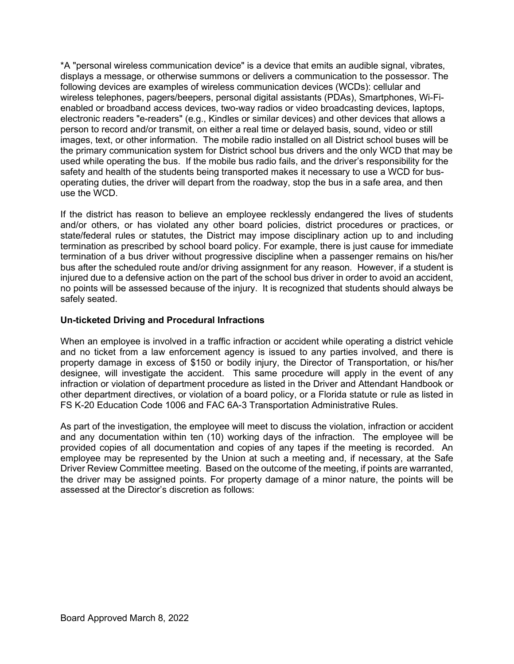\*A "personal wireless communication device" is a device that emits an audible signal, vibrates, displays a message, or otherwise summons or delivers a communication to the possessor. The following devices are examples of wireless communication devices (WCDs): cellular and wireless telephones, pagers/beepers, personal digital assistants (PDAs), Smartphones, Wi-Fienabled or broadband access devices, two-way radios or video broadcasting devices, laptops, electronic readers "e-readers" (e.g., Kindles or similar devices) and other devices that allows a person to record and/or transmit, on either a real time or delayed basis, sound, video or still images, text, or other information. The mobile radio installed on all District school buses will be the primary communication system for District school bus drivers and the only WCD that may be used while operating the bus. If the mobile bus radio fails, and the driver's responsibility for the safety and health of the students being transported makes it necessary to use a WCD for busoperating duties, the driver will depart from the roadway, stop the bus in a safe area, and then use the WCD.

If the district has reason to believe an employee recklessly endangered the lives of students and/or others, or has violated any other board policies, district procedures or practices, or state/federal rules or statutes, the District may impose disciplinary action up to and including termination as prescribed by school board policy. For example, there is just cause for immediate termination of a bus driver without progressive discipline when a passenger remains on his/her bus after the scheduled route and/or driving assignment for any reason. However, if a student is injured due to a defensive action on the part of the school bus driver in order to avoid an accident, no points will be assessed because of the injury. It is recognized that students should always be safely seated.

## **Un-ticketed Driving and Procedural Infractions**

When an employee is involved in a traffic infraction or accident while operating a district vehicle and no ticket from a law enforcement agency is issued to any parties involved, and there is property damage in excess of \$150 or bodily injury, the Director of Transportation, or his/her designee, will investigate the accident. This same procedure will apply in the event of any infraction or violation of department procedure as listed in the Driver and Attendant Handbook or other department directives, or violation of a board policy, or a Florida statute or rule as listed in FS K-20 Education Code 1006 and FAC 6A-3 Transportation Administrative Rules.

As part of the investigation, the employee will meet to discuss the violation, infraction or accident and any documentation within ten (10) working days of the infraction. The employee will be provided copies of all documentation and copies of any tapes if the meeting is recorded. An employee may be represented by the Union at such a meeting and, if necessary, at the Safe Driver Review Committee meeting. Based on the outcome of the meeting, if points are warranted, the driver may be assigned points. For property damage of a minor nature, the points will be assessed at the Director's discretion as follows: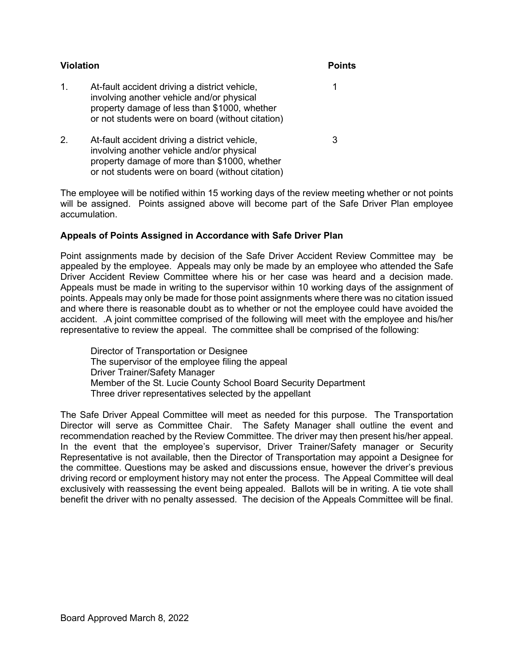| <b>Violation</b> | <b>Points</b>                                                                                                                                                                                  |   |
|------------------|------------------------------------------------------------------------------------------------------------------------------------------------------------------------------------------------|---|
| 1.               | At-fault accident driving a district vehicle,<br>involving another vehicle and/or physical<br>property damage of less than \$1000, whether<br>or not students were on board (without citation) |   |
| 2.               | At-fault accident driving a district vehicle,<br>involving another vehicle and/or physical<br>property damage of more than \$1000, whether<br>or not students were on board (without citation) | З |

The employee will be notified within 15 working days of the review meeting whether or not points will be assigned. Points assigned above will become part of the Safe Driver Plan employee accumulation.

## **Appeals of Points Assigned in Accordance with Safe Driver Plan**

Point assignments made by decision of the Safe Driver Accident Review Committee may be appealed by the employee. Appeals may only be made by an employee who attended the Safe Driver Accident Review Committee where his or her case was heard and a decision made. Appeals must be made in writing to the supervisor within 10 working days of the assignment of points. Appeals may only be made for those point assignments where there was no citation issued and where there is reasonable doubt as to whether or not the employee could have avoided the accident. .A joint committee comprised of the following will meet with the employee and his/her representative to review the appeal. The committee shall be comprised of the following:

Director of Transportation or Designee The supervisor of the employee filing the appeal Driver Trainer/Safety Manager Member of the St. Lucie County School Board Security Department Three driver representatives selected by the appellant

The Safe Driver Appeal Committee will meet as needed for this purpose. The Transportation Director will serve as Committee Chair. The Safety Manager shall outline the event and recommendation reached by the Review Committee. The driver may then present his/her appeal. In the event that the employee's supervisor, Driver Trainer/Safety manager or Security Representative is not available, then the Director of Transportation may appoint a Designee for the committee. Questions may be asked and discussions ensue, however the driver's previous driving record or employment history may not enter the process. The Appeal Committee will deal exclusively with reassessing the event being appealed. Ballots will be in writing. A tie vote shall benefit the driver with no penalty assessed. The decision of the Appeals Committee will be final.